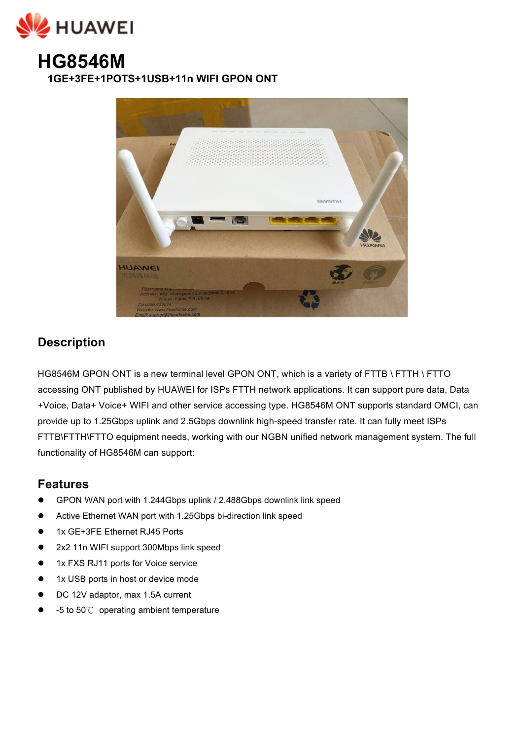



**1GE+3FE+1POTS+1USB+11n WIFI GPON ONT** 



## **Description**

HG8546M GPON ONT is a new terminal level GPON ONT, which is a variety of FTTB \ FTTH \ FTTO accessing ONT published by HUAWEI for ISPs FTTH network applications. It can support pure data, Data +Voice, Data+ Voice+ WIFI and other service accessing type. HG8546M ONT supports standard OMCI, can provide up to 1.25Gbps uplink and 2.5Gbps downlink high-speed transfer rate. It can fully meet ISPs FTTB\FTTH\FTTO equipment needs, working with our NGBN unified network management system. The full functionality of HG8546M can support:

## **Features**

- GPON WAN port with 1.244Gbps uplink / 2.488Gbps downlink link speed
- ! Active Ethernet WAN port with 1.25Gbps bi-direction link speed
- 1x GE+3FE Ethernet RJ45 Ports
- ! 2x2 11n WIFI support 300Mbps link speed
- 1x FXS RJ11 ports for Voice service
- 1x USB ports in host or device mode
- DC 12V adaptor, max 1.5A current
- ! -5 to 50℃ operating ambient temperature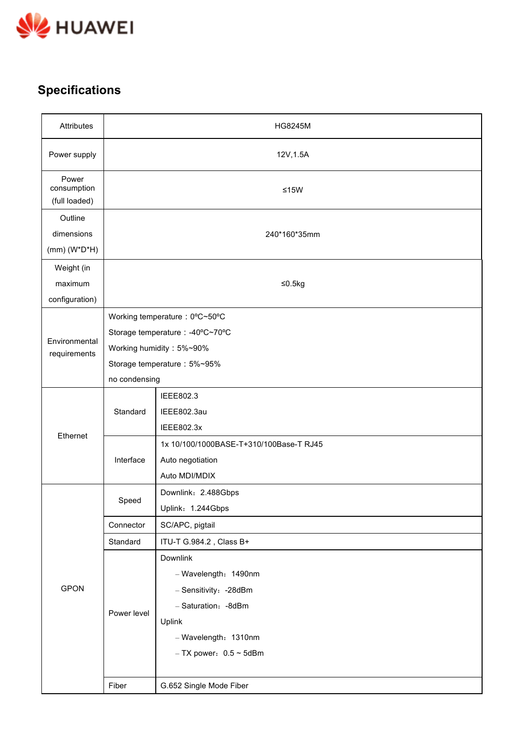

## **Specifications**

| Attributes                               | <b>HG8245M</b>                                                                                                                                |                                                                                                                                                        |  |
|------------------------------------------|-----------------------------------------------------------------------------------------------------------------------------------------------|--------------------------------------------------------------------------------------------------------------------------------------------------------|--|
| Power supply                             | 12V, 1.5A                                                                                                                                     |                                                                                                                                                        |  |
| Power<br>consumption<br>(full loaded)    | $≤15W$                                                                                                                                        |                                                                                                                                                        |  |
| Outline<br>dimensions<br>$(mm)(W^*D^*H)$ | 240*160*35mm                                                                                                                                  |                                                                                                                                                        |  |
| Weight (in<br>maximum<br>configuration)  | ≤0.5 $kg$                                                                                                                                     |                                                                                                                                                        |  |
| Environmental<br>requirements            | Working temperature: 0°C~50°C<br>Storage temperature : -40°C~70°C<br>Working humidity: 5%~90%<br>Storage temperature: 5%~95%<br>no condensing |                                                                                                                                                        |  |
| Ethernet                                 | Standard                                                                                                                                      | IEEE802.3<br>IEEE802.3au<br>IEEE802.3x                                                                                                                 |  |
|                                          | Interface                                                                                                                                     | 1x 10/100/1000BASE-T+310/100Base-T RJ45<br>Auto negotiation<br>Auto MDI/MDIX                                                                           |  |
|                                          | Speed                                                                                                                                         | Downlink: 2.488Gbps<br>Uplink: 1.244Gbps                                                                                                               |  |
|                                          | Connector                                                                                                                                     | SC/APC, pigtail                                                                                                                                        |  |
|                                          | Standard                                                                                                                                      | ITU-T G.984.2, Class B+                                                                                                                                |  |
| <b>GPON</b>                              | Power level                                                                                                                                   | Downlink<br>- Wavelength: 1490nm<br>- Sensitivity: - 28dBm<br>- Saturation: - 8dBm<br>Uplink<br>- Wavelength: 1310nm<br>$-$ TX power: $0.5 \sim 5$ dBm |  |
|                                          | Fiber                                                                                                                                         | G.652 Single Mode Fiber                                                                                                                                |  |